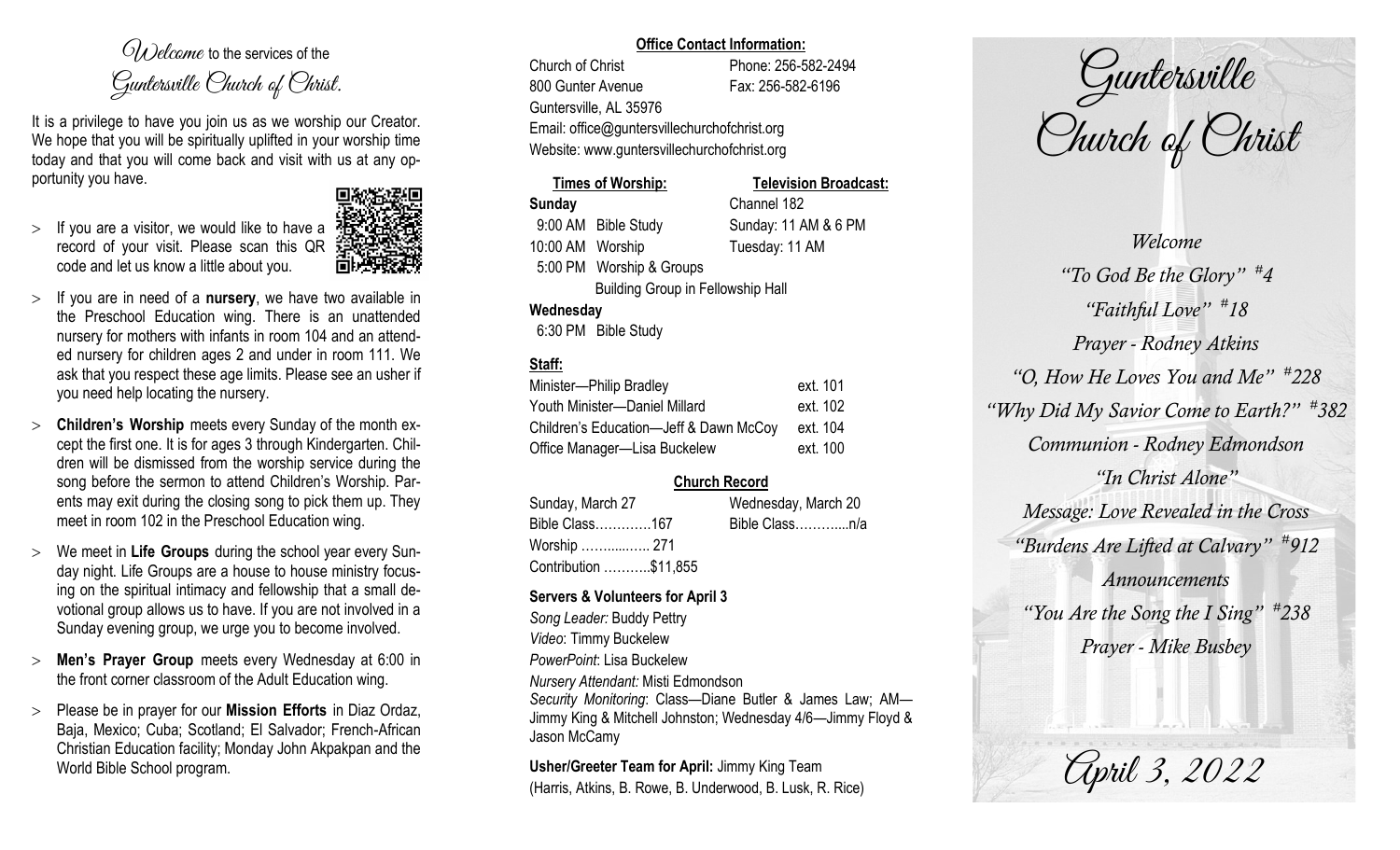$O(\lambda)$  elcame to the services of the Guntersville Church of Christ.

It is a privilege to have you join us as we worship our Creator. We hope that you will be spiritually uplifted in your worship time today and that you will come back and visit with us at any opportunity you have.

 $>$  If you are a visitor, we would like to have a record of your visit. Please scan this QR code and let us know a little about you.



- If you are in need of a **nursery**, we have two available in the Preschool Education wing. There is an unattended nursery for mothers with infants in room 104 and an attended nursery for children ages 2 and under in room 111. We ask that you respect these age limits. Please see an usher if you need help locating the nursery.
- **Children's Worship** meets every Sunday of the month except the first one. It is for ages 3 through Kindergarten. Children will be dismissed from the worship service during the song before the sermon to attend Children's Worship. Parents may exit during the closing song to pick them up. They meet in room 102 in the Preschool Education wing.
- We meet in **Life Groups** during the school year every Sunday night. Life Groups are a house to house ministry focusing on the spiritual intimacy and fellowship that a small devotional group allows us to have. If you are not involved in a Sunday evening group, we urge you to become involved.
- **Men's Prayer Group** meets every Wednesday at 6:00 in the front corner classroom of the Adult Education wing.
- Please be in prayer for our **Mission Efforts** in Diaz Ordaz, Baja, Mexico; Cuba; Scotland; El Salvador; French-African Christian Education facility; Monday John Akpakpan and the World Bible School program.

### **Office Contact Information:**

Church of Christ Phone: 256-582-2494 800 Gunter Avenue Fax: 256-582-6196 Guntersville, AL 35976 Email: office@guntersvillechurchofchrist.org Website: www.guntersvillechurchofchrist.org

### **Times of Worship: Television Broadcast: Sunday** Channel 182

9:00 AM Bible Study Sunday: 11 AM & 6 PM 10:00 AM Worship Tuesday: 11 AM 5:00 PM Worship & Groups

Building Group in Fellowship Hall

## **Wednesday**

6:30 PM Bible Study

# **Staff:**

| Minister-Philip Bradley                | ext. 101 |
|----------------------------------------|----------|
| Youth Minister-Daniel Millard          | ext. 102 |
| Children's Education-Jeff & Dawn McCoy | ext. 104 |
| Office Manager-Lisa Buckelew           | ext. 100 |

## **Church Record**

| Sunday, March 27      | Wednesday, March 20 |  |
|-----------------------|---------------------|--|
| Bible Class167        | Bible Classn/a      |  |
| Worship  271          |                     |  |
| Contribution \$11,855 |                     |  |

### **Servers & Volunteers for April 3**

*Song Leader:* Buddy Pettry *Video*: Timmy Buckelew *PowerPoint*: Lisa Buckelew *Nursery Attendant:* Misti Edmondson *Security Monitoring*: Class—Diane Butler & James Law; AM— Jimmy King & Mitchell Johnston; Wednesday 4/6—Jimmy Floyd & Jason McCamy

**Usher/Greeter Team for April:** Jimmy King Team (Harris, Atkins, B. Rowe, B. Underwood, B. Lusk, R. Rice)

Guntersville Church of Christ

*Welcome "To God Be the Glory" # 4 "Faithful Love" # 18 Prayer - Rodney Atkins "O, How He Loves You and Me" # 228 "Why Did My Savior Come to Earth?" # 382 Communion - Rodney Edmondson "In Christ Alone" Message: Love Revealed in the Cross "Burdens Are Lifted at Calvary" # 912 Announcements "You Are the Song the I Sing" # 238 Prayer - Mike Busbey*

April 3, 2022